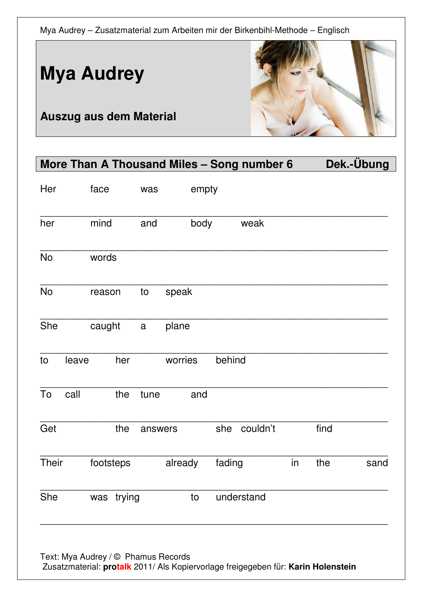

**Auszug aus dem Material** 

**Mya Audrey** 

## More Than A Thousand Miles - Song number 6 Dek.-Übung Her face was empty \_\_\_\_\_\_\_\_\_\_\_\_\_\_\_\_\_\_\_\_\_\_\_\_\_\_\_\_\_\_\_\_\_\_\_\_\_\_\_\_\_\_\_\_\_\_\_\_\_\_\_\_\_\_\_\_\_\_\_\_\_\_\_ her mind and body weak \_\_\_\_\_\_\_\_\_\_\_\_\_\_\_\_\_\_\_\_\_\_\_\_\_\_\_\_\_\_\_\_\_\_\_\_\_\_\_\_\_\_\_\_\_\_\_\_\_\_\_\_\_\_\_\_\_\_\_\_\_\_\_ No words \_\_\_\_\_\_\_\_\_\_\_\_\_\_\_\_\_\_\_\_\_\_\_\_\_\_\_\_\_\_\_\_\_\_\_\_\_\_\_\_\_\_\_\_\_\_\_\_\_\_\_\_\_\_\_\_\_\_\_\_\_\_\_ No reason to speak \_\_\_\_\_\_\_\_\_\_\_\_\_\_\_\_\_\_\_\_\_\_\_\_\_\_\_\_\_\_\_\_\_\_\_\_\_\_\_\_\_\_\_\_\_\_\_\_\_\_\_\_\_\_\_\_\_\_\_\_\_\_\_ She caught a plane \_\_\_\_\_\_\_\_\_\_\_\_\_\_\_\_\_\_\_\_\_\_\_\_\_\_\_\_\_\_\_\_\_\_\_\_\_\_\_\_\_\_\_\_\_\_\_\_\_\_\_\_\_\_\_\_\_\_\_\_\_\_\_ to leave her worries behind \_\_\_\_\_\_\_\_\_\_\_\_\_\_\_\_\_\_\_\_\_\_\_\_\_\_\_\_\_\_\_\_\_\_\_\_\_\_\_\_\_\_\_\_\_\_\_\_\_\_\_\_\_\_\_\_\_\_\_\_\_\_\_ To call the tune and \_\_\_\_\_\_\_\_\_\_\_\_\_\_\_\_\_\_\_\_\_\_\_\_\_\_\_\_\_\_\_\_\_\_\_\_\_\_\_\_\_\_\_\_\_\_\_\_\_\_\_\_\_\_\_\_\_\_\_\_\_\_\_ Get the answers she couldn't find \_\_\_\_\_\_\_\_\_\_\_\_\_\_\_\_\_\_\_\_\_\_\_\_\_\_\_\_\_\_\_\_\_\_\_\_\_\_\_\_\_\_\_\_\_\_\_\_\_\_\_\_\_\_\_\_\_\_\_\_\_\_\_ Their footsteps already fading in the sand \_\_\_\_\_\_\_\_\_\_\_\_\_\_\_\_\_\_\_\_\_\_\_\_\_\_\_\_\_\_\_\_\_\_\_\_\_\_\_\_\_\_\_\_\_\_\_\_\_\_\_\_\_\_\_\_\_\_\_\_\_\_\_ She was trying to understand \_\_\_\_\_\_\_\_\_\_\_\_\_\_\_\_\_\_\_\_\_\_\_\_\_\_\_\_\_\_\_\_\_\_\_\_\_\_\_\_\_\_\_\_\_\_\_\_\_\_\_\_\_\_\_\_\_\_\_\_\_\_\_

Text: Mya Audrey / © Phamus Records Zusatzmaterial: **protalk** 2011/ Als Kopiervorlage freigegeben für: **Karin Holenstein**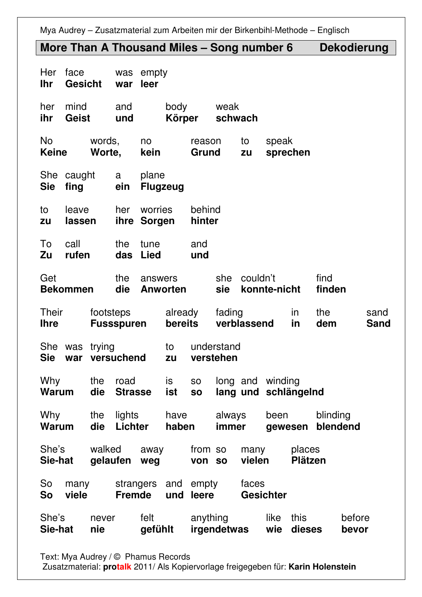#### **More Than A Thousand Miles – Song number 6 Dekodierung**

| Her<br><b>Ihr</b>                                             | face<br><b>Gesicht</b>                      |                          | was<br>war                 | empty<br>leer            |                             |                         |                               |                                          |                          |                      |                     |  |  |
|---------------------------------------------------------------|---------------------------------------------|--------------------------|----------------------------|--------------------------|-----------------------------|-------------------------|-------------------------------|------------------------------------------|--------------------------|----------------------|---------------------|--|--|
| her<br>ihr                                                    | mind<br>and<br>Geist<br>und                 |                          |                            | body<br>Körper           |                             | weak<br>schwach         |                               |                                          |                          |                      |                     |  |  |
| <b>No</b><br>words,<br><b>Keine</b><br>Worte,                 |                                             |                          | no<br>kein                 |                          | to<br>reason<br>Grund<br>zu |                         |                               | speak<br>sprechen                        |                          |                      |                     |  |  |
| She caught<br>a<br><b>Sie</b><br>fing<br>ein                  |                                             |                          |                            | plane<br><b>Flugzeug</b> |                             |                         |                               |                                          |                          |                      |                     |  |  |
| to<br>zu                                                      | her<br>leave<br>lassen                      |                          |                            | worries<br>ihre Sorgen   |                             |                         | behind<br>hinter              |                                          |                          |                      |                     |  |  |
| To<br>Zu                                                      | call<br>the<br>rufen<br>das                 |                          |                            | tune<br><b>Lied</b>      |                             | and<br>und              |                               |                                          |                          |                      |                     |  |  |
| Get<br>the<br>die<br><b>Bekommen</b>                          |                                             |                          | answers<br><b>Anworten</b> |                          |                             | she<br>sie              | couldn't                      | konnte-nicht                             |                          | find<br>finden       |                     |  |  |
| <b>Their</b><br>footsteps<br><b>Fussspuren</b><br><b>Ihre</b> |                                             |                          |                            | already<br>bereits       | fading<br>verblassend       |                         |                               | in<br>in                                 | the<br>dem               |                      | sand<br><b>Sand</b> |  |  |
| She was<br><b>Sie</b>                                         | war                                         | trying                   | versuchend                 | to<br>zu                 |                             | understand<br>verstehen |                               |                                          |                          |                      |                     |  |  |
| Why<br>the<br>road<br>die<br><b>Warum</b><br><b>Strasse</b>   |                                             |                          | is<br>ist                  | SO<br><b>SO</b>          |                             |                         |                               | long and winding<br>lang und schlängelnd |                          |                      |                     |  |  |
| Why<br>the<br>die<br><b>Warum</b>                             |                                             | lights<br><b>Lichter</b> |                            | have<br>haben            |                             | always<br>immer         |                               | been<br>qewesen                          |                          | blinding<br>blendend |                     |  |  |
| She's<br>Sie-hat                                              |                                             | walked<br>gelaufen       |                            | away<br>weg              |                             |                         | from so<br>von so             | many<br>vielen                           | places<br><b>Plätzen</b> |                      |                     |  |  |
| So<br>So                                                      | strangers<br>many<br><b>Fremde</b><br>viele |                          |                            | and<br>und               | empty<br>leere              |                         | faces<br><b>Gesichter</b>     |                                          |                          |                      |                     |  |  |
| She's<br>never<br>Sie-hat<br>nie                              |                                             |                          | felt<br>gefühlt            |                          | anything<br>irgendetwas     |                         | like<br>this<br>dieses<br>wie |                                          |                          | before<br>bevor      |                     |  |  |

Text: Mya Audrey / © Phamus Records

Zusatzmaterial: **protalk** 2011/ Als Kopiervorlage freigegeben für: **Karin Holenstein**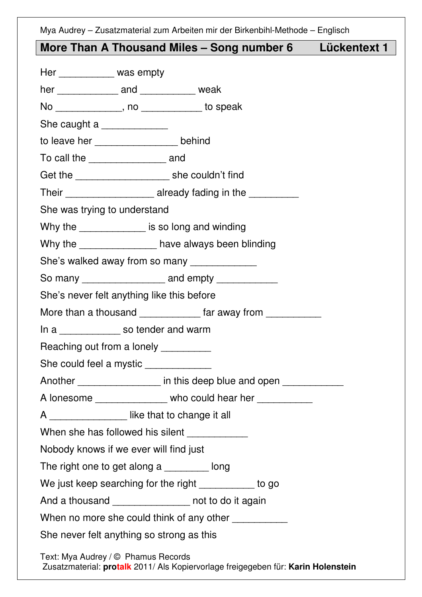### **More Than A Thousand Miles – Song number 6 Lückentext 1**

| Her ___________ was empty             |                                                                                   |
|---------------------------------------|-----------------------------------------------------------------------------------|
|                                       | her _________________ and _______________ weak                                    |
|                                       | No ______________, no ____________ to speak                                       |
| She caught a _______________          |                                                                                   |
|                                       | to leave her ________________ behind                                              |
| To call the _____________________ and |                                                                                   |
|                                       |                                                                                   |
|                                       | Their __________________________ already fading in the _________________________  |
| She was trying to understand          |                                                                                   |
|                                       | Why the ______________ is so long and winding                                     |
|                                       | Why the _________________ have always been blinding                               |
|                                       | She's walked away from so many _______________                                    |
|                                       | So many _______________________ and empty _____________                           |
|                                       | She's never felt anything like this before                                        |
|                                       | More than a thousand ______________ far away from ___________                     |
|                                       | In a ______________ so tender and warm                                            |
|                                       | Reaching out from a lonely _________                                              |
|                                       | She could feel a mystic ____________                                              |
|                                       | Another __________________ in this deep blue and open ____________                |
|                                       | A lonesome ________________ who could hear her ___________                        |
|                                       | A _________________ like that to change it all                                    |
|                                       | When she has followed his silent ____________                                     |
|                                       | Nobody knows if we ever will find just                                            |
|                                       | The right one to get along a _________ long                                       |
|                                       | We just keep searching for the right ___________ to go                            |
|                                       | And a thousand _______________ not to do it again                                 |
|                                       | When no more she could think of any other ____________                            |
|                                       | She never felt anything so strong as this                                         |
| Text: Mya Audrey / © Phamus Records   | Zusatzmaterial: protalk 2011/ Als Kopiervorlage freigegeben für: Karin Holenstein |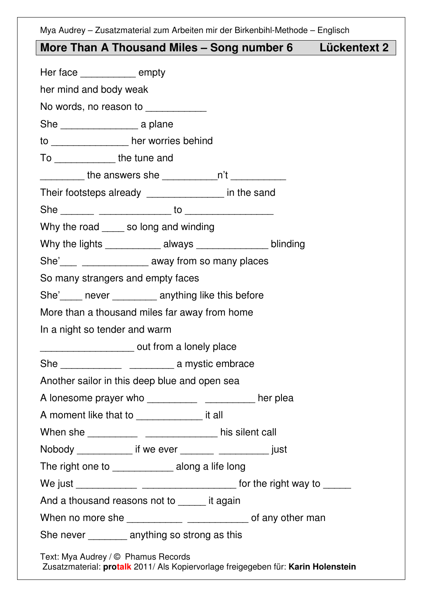### **More Than A Thousand Miles – Song number 6 Lückentext 2**

| Her face ___________ empty       |                                                                                                                                                                                                                                                                                                                                                                                                      |  |
|----------------------------------|------------------------------------------------------------------------------------------------------------------------------------------------------------------------------------------------------------------------------------------------------------------------------------------------------------------------------------------------------------------------------------------------------|--|
| her mind and body weak           |                                                                                                                                                                                                                                                                                                                                                                                                      |  |
|                                  | No words, no reason to ___________                                                                                                                                                                                                                                                                                                                                                                   |  |
|                                  |                                                                                                                                                                                                                                                                                                                                                                                                      |  |
|                                  | to ________________ her worries behind                                                                                                                                                                                                                                                                                                                                                               |  |
| To ________________ the tune and |                                                                                                                                                                                                                                                                                                                                                                                                      |  |
|                                  | __________ the answers she ____________n't _____________                                                                                                                                                                                                                                                                                                                                             |  |
|                                  | Their footsteps already _______________ in the sand                                                                                                                                                                                                                                                                                                                                                  |  |
|                                  |                                                                                                                                                                                                                                                                                                                                                                                                      |  |
|                                  | Why the road _____ so long and winding                                                                                                                                                                                                                                                                                                                                                               |  |
|                                  | Why the lights ______________ always _________________ blinding                                                                                                                                                                                                                                                                                                                                      |  |
|                                  | She'\[\] __________________________ away from so many places                                                                                                                                                                                                                                                                                                                                         |  |
|                                  | So many strangers and empty faces                                                                                                                                                                                                                                                                                                                                                                    |  |
|                                  | She'_____ never _________ anything like this before                                                                                                                                                                                                                                                                                                                                                  |  |
|                                  | More than a thousand miles far away from home                                                                                                                                                                                                                                                                                                                                                        |  |
| In a night so tender and warm    |                                                                                                                                                                                                                                                                                                                                                                                                      |  |
|                                  | ________________________ out from a lonely place                                                                                                                                                                                                                                                                                                                                                     |  |
|                                  |                                                                                                                                                                                                                                                                                                                                                                                                      |  |
|                                  | Another sailor in this deep blue and open sea                                                                                                                                                                                                                                                                                                                                                        |  |
|                                  | A lonesome prayer who _________________________________ her plea                                                                                                                                                                                                                                                                                                                                     |  |
|                                  | A moment like that to _________________ it all                                                                                                                                                                                                                                                                                                                                                       |  |
|                                  |                                                                                                                                                                                                                                                                                                                                                                                                      |  |
|                                  | Nobody ______________ if we ever _________ _______________ just                                                                                                                                                                                                                                                                                                                                      |  |
|                                  | The right one to ______________ along a life long                                                                                                                                                                                                                                                                                                                                                    |  |
|                                  |                                                                                                                                                                                                                                                                                                                                                                                                      |  |
|                                  | And a thousand reasons not to _____ it again                                                                                                                                                                                                                                                                                                                                                         |  |
|                                  | When no more she $\frac{1}{\sqrt{1-\frac{1}{2}}\sqrt{1-\frac{1}{2}}\sqrt{1-\frac{1}{2}}\sqrt{1-\frac{1}{2}}\sqrt{1-\frac{1}{2}}\sqrt{1-\frac{1}{2}}\sqrt{1-\frac{1}{2}}\sqrt{1-\frac{1}{2}}\sqrt{1-\frac{1}{2}}\sqrt{1-\frac{1}{2}}\sqrt{1-\frac{1}{2}}\sqrt{1-\frac{1}{2}}\sqrt{1-\frac{1}{2}}\sqrt{1-\frac{1}{2}}\sqrt{1-\frac{1}{2}}\sqrt{1-\frac{1}{2}}\sqrt{1-\frac{1}{2}}\sqrt{1-\frac{1}{2}}$ |  |
|                                  | She never _________ anything so strong as this                                                                                                                                                                                                                                                                                                                                                       |  |
|                                  | Text: Mya Audrey / © Phamus Records<br>Zusatzmaterial: protalk 2011/ Als Kopiervorlage freigegeben für: Karin Holenstein                                                                                                                                                                                                                                                                             |  |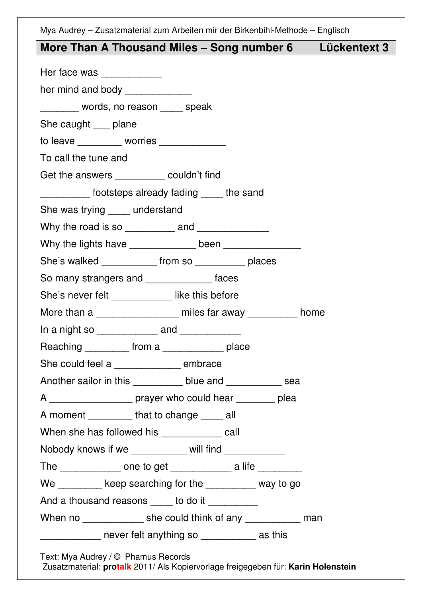# **More Than A Thousand Miles – Song number 6 Lückentext 3**

| Her face was _____________                                      |  |  |
|-----------------------------------------------------------------|--|--|
| her mind and body ______________                                |  |  |
| ________ words, no reason ____ speak                            |  |  |
| She caught ___ plane                                            |  |  |
| to leave __________ worries ______________                      |  |  |
| To call the tune and                                            |  |  |
| Get the answers ___________ couldn't find                       |  |  |
| ___________ footsteps already fading _____ the sand             |  |  |
| She was trying _____ understand                                 |  |  |
|                                                                 |  |  |
|                                                                 |  |  |
| She's walked _____________ from so ____________ places          |  |  |
| So many strangers and _______________ faces                     |  |  |
| She's never felt _____________ like this before                 |  |  |
| More than a _________________ miles far away _________ home     |  |  |
| In a night so ______________ and _____________                  |  |  |
| Reaching __________ from a ______________ place                 |  |  |
| She could feel a _______________ embrace                        |  |  |
| Another sailor in this ___________ blue and ____________ sea    |  |  |
| A ____________________ prayer who could hear _________ plea     |  |  |
| A moment __________that to change _____ all                     |  |  |
| When she has followed his _____________ call                    |  |  |
| Nobody knows if we ___________ will find ___________            |  |  |
| The _______________ one to get ______________ a life __________ |  |  |
| We ________ keep searching for the ________ way to go           |  |  |
| And a thousand reasons _____ to do it _________                 |  |  |
| When no ______________ she could think of any ____________ man  |  |  |
| _____________ never felt anything so ____________ as this       |  |  |
| Text: Mya Audrey / © Phamus Records                             |  |  |

Zusatzmaterial: **protalk** 2011/ Als Kopiervorlage freigegeben für: **Karin Holenstein**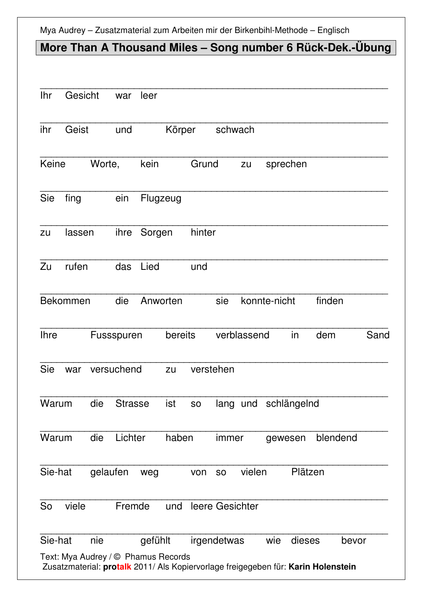### **More Than A Thousand Miles – Song number 6 Rück-Dek.-Übung**

| <b>Ihr</b>      | Gesicht                             |        | war            | leer     |         |           |                 |              |                      |         |                                                                                   |       |
|-----------------|-------------------------------------|--------|----------------|----------|---------|-----------|-----------------|--------------|----------------------|---------|-----------------------------------------------------------------------------------|-------|
| ihr             | Geist<br>und                        |        | Körper         |          |         | schwach   |                 |              |                      |         |                                                                                   |       |
| Keine           |                                     | Worte, |                | kein     |         | Grund     |                 | zu           | sprechen             |         |                                                                                   |       |
| Sie             | fing                                |        | ein            | Flugzeug |         |           |                 |              |                      |         |                                                                                   |       |
| zu              | ihre<br>lassen                      |        | Sorgen         |          | hinter  |           |                 |              |                      |         |                                                                                   |       |
| Zu              | rufen                               |        | das            | Lied     |         | und       |                 |              |                      |         |                                                                                   |       |
| <b>Bekommen</b> |                                     | die    | Anworten       |          |         | sie       |                 | konnte-nicht |                      | finden  |                                                                                   |       |
| <b>Ihre</b>     |                                     |        | Fussspuren     |          | bereits |           |                 | verblassend  |                      | in      | dem                                                                               | Sand  |
| <b>Sie</b>      | war                                 |        | versuchend     |          | zu      | verstehen |                 |              |                      |         |                                                                                   |       |
| Warum           |                                     | die    | <b>Strasse</b> |          | ist     | <b>SO</b> |                 |              | lang und schlängelnd |         |                                                                                   |       |
| Warum           |                                     | die    | Lichter        |          | haben   |           | immer           |              | gewesen              |         | blendend                                                                          |       |
| Sie-hat         |                                     |        | gelaufen       | weg      |         | von       | <b>SO</b>       | vielen       |                      | Plätzen |                                                                                   |       |
| So              | viele                               |        | Fremde         |          | und     |           | leere Gesichter |              |                      |         |                                                                                   |       |
| Sie-hat         | Text: Mya Audrey / © Phamus Records | nie    |                | gefühlt  |         |           | irgendetwas     |              | wie                  | dieses  | Zusatzmaterial: protalk 2011/ Als Kopiervorlage freigegeben für: Karin Holenstein | bevor |